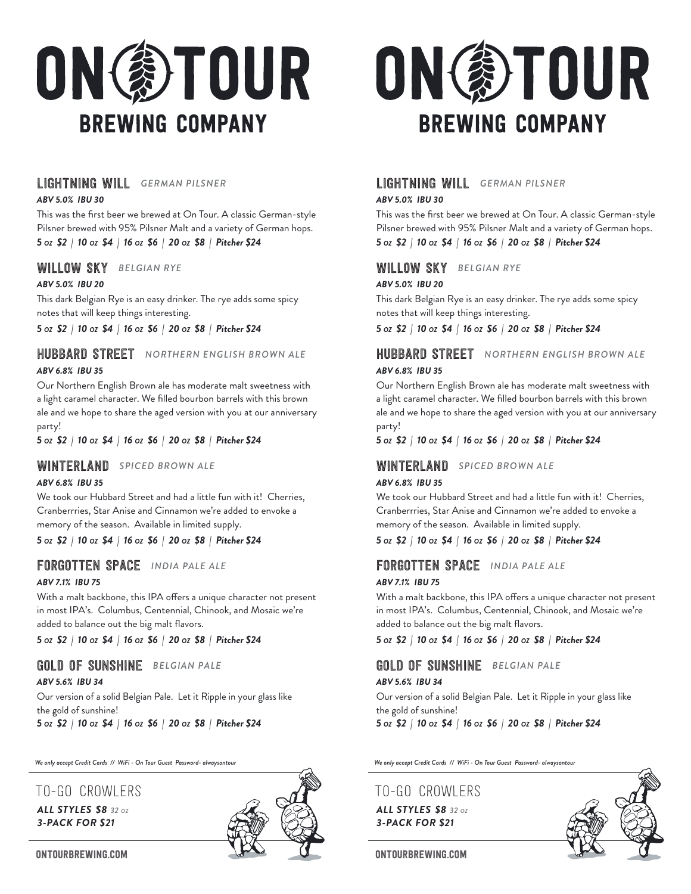

## LIGHTNING WILL *GERMAN PILSNER*

#### *ABV 5.0% IBU 30*

This was the first beer we brewed at On Tour. A classic German-style Pilsner brewed with 95% Pilsner Malt and a variety of German hops. *5 OZ \$2 | 10 OZ \$4 | 16 OZ \$6 | 20 OZ \$8 | Pitcher \$24* 

## WILLOW SKY *BELGIAN RYE*

#### *ABV 5.0% IBU 20*

This dark Belgian Rye is an easy drinker. The rye adds some spicy notes that will keep things interesting.

*5 OZ \$2 | 10 OZ \$4 | 16 OZ \$6 | 20 OZ \$8 | Pitcher \$24*

# HUBBARD STREET *NORTHERN ENGLISH BROWN ALE*

#### *ABV 6.8% IBU 35*

Our Northern English Brown ale has moderate malt sweetness with a light caramel character. We filled bourbon barrels with this brown ale and we hope to share the aged version with you at our anniversary party!

*5 OZ \$2 | 10 OZ \$4 | 16 OZ \$6 | 20 OZ \$8 | Pitcher \$24*

#### WINTERLAND *SPICED BROWN ALE*

#### *ABV 6.8% IBU 35*

We took our Hubbard Street and had a little fun with it! Cherries, Cranberrries, Star Anise and Cinnamon we're added to envoke a memory of the season. Available in limited supply.

*5 OZ \$2 | 10 OZ \$4 | 16 OZ \$6 | 20 OZ \$8 | Pitcher \$24*

## FORGOTTEN SPACE *INDIA PALE ALE*

#### *ABV 7.1% IBU 75*

With a malt backbone, this IPA offers a unique character not present in most IPA's. Columbus, Centennial, Chinook, and Mosaic we're added to balance out the big malt flavors.

*5 OZ \$2 | 10 OZ \$4 | 16 OZ \$6 | 20 OZ \$8 | Pitcher \$24*

## GOLD OF SUNSHINE *BELGIAN PALE*

#### *ABV 5.6% IBU 34*

Our version of a solid Belgian Pale. Let it Ripple in your glass like the gold of sunshine!

*5 OZ \$2 | 10 OZ \$4 | 16 OZ \$6 | 20 OZ \$8 | Pitcher \$24*

*We only accept Credit Cards // WiFi - On Tour Guest Password- alwaysontour We only accept Credit Cards // WiFi - On Tour Guest Password- alwaysontour*

## To-Go Crowlers To-Go Crowlers

## *ALL STYLES \$8 32 OZ 3-PACK FOR \$21*





## LIGHTNING WILL *GERMAN PILSNER*

*ABV 5.0% IBU 30*

This was the first beer we brewed at On Tour. A classic German-style Pilsner brewed with 95% Pilsner Malt and a variety of German hops. *5 OZ \$2 | 10 OZ \$4 | 16 OZ \$6 | 20 OZ \$8 | Pitcher \$24* 

## WILLOW SKY *BELGIAN RYE*

#### *ABV 5.0% IBU 20*

This dark Belgian Rye is an easy drinker. The rye adds some spicy notes that will keep things interesting.

*5 OZ \$2 | 10 OZ \$4 | 16 OZ \$6 | 20 OZ \$8 | Pitcher \$24*

## HUBBARD STREET *NORTHERN ENGLISH BROWN ALE ABV 6.8% IBU 35*

Our Northern English Brown ale has moderate malt sweetness with a light caramel character. We filled bourbon barrels with this brown ale and we hope to share the aged version with you at our anniversary party!

*5 OZ \$2 | 10 OZ \$4 | 16 OZ \$6 | 20 OZ \$8 | Pitcher \$24*

#### WINTERLAND *SPICED BROWN ALE*

#### *ABV 6.8% IBU 35*

We took our Hubbard Street and had a little fun with it! Cherries, Cranberrries, Star Anise and Cinnamon we're added to envoke a memory of the season. Available in limited supply.

#### *5 OZ \$2 | 10 OZ \$4 | 16 OZ \$6 | 20 OZ \$8 | Pitcher \$24*

#### FORGOTTEN SPACE *INDIA PALE ALE*

#### *ABV 7.1% IBU 75*

With a malt backbone, this IPA offers a unique character not present in most IPA's. Columbus, Centennial, Chinook, and Mosaic we're added to balance out the big malt flavors.

*5 OZ \$2 | 10 OZ \$4 | 16 OZ \$6 | 20 OZ \$8 | Pitcher \$24*

## GOLD OF SUNSHINE *BELGIAN PALE*

#### *ABV 5.6% IBU 34*

Our version of a solid Belgian Pale. Let it Ripple in your glass like the gold of sunshine!

*5 OZ \$2 | 10 OZ \$4 | 16 OZ \$6 | 20 OZ \$8 | Pitcher \$24*

*ALL STYLES \$8 32 OZ 3-PACK FOR \$21*